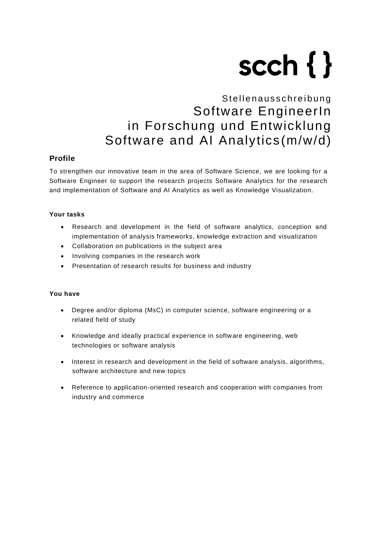# scch $\{\}$

# Stellenausschreibung Software EngineerIn in Forschung und Entwicklung Software and AI Analytics (m/w/d)

# **Profile**

To strengthen our innovative team in the area of Software Science, we are looking for a Software Engineer to support the research projects Software Analytics for the research and implementation of Software and AI Analytics as well as Knowledge Visualization.

## **Your tasks**

- Research and development in the field of software analytics, conception and implementation of analysis frameworks, knowledge extraction and visualization
- Collaboration on publications in the subject area
- Involving companies in the research work
- Presentation of research results for business and industry

### **You have**

- Degree and/or diploma (MsC) in computer science, software engineering or a related field of study
- Knowledge and ideally practical experience in software engineering, web technologies or software analysis
- Interest in research and development in the field of software analysis, algorithms, software architecture and new topics
- Reference to application-oriented research and cooperation with companies from industry and commerce